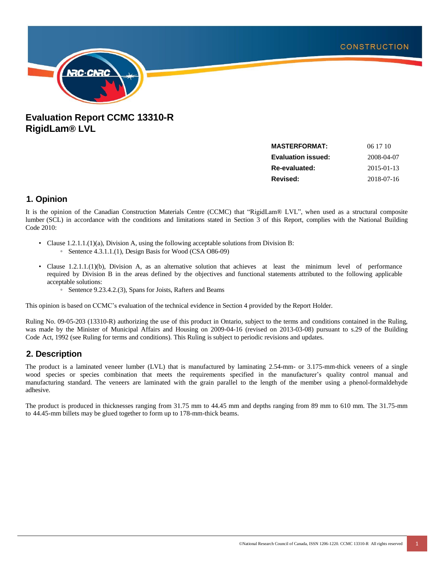

## **Evaluation Report CCMC 13310-R RigidLam® LVL**

| <b>MASTERFORMAT:</b>      | 06 17 10   |
|---------------------------|------------|
| <b>Evaluation issued:</b> | 2008-04-07 |
| Re-evaluated:             | 2015-01-13 |
| Revised:                  | 2018-07-16 |
|                           |            |

### **1. Opinion**

It is the opinion of the Canadian Construction Materials Centre (CCMC) that "RigidLam® LVL", when used as a structural composite lumber (SCL) in accordance with the conditions and limitations stated in Section 3 of this Report, complies with the National Building Code 2010:

- Clause 1.2.1.1.(1)(a), Division A, using the following acceptable solutions from Division B:
	- Sentence 4.3.1.1.(1), Design Basis for Wood (CSA O86-09)
- Clause 1.2.1.1.(1)(b), Division A, as an alternative solution that achieves at least the minimum level of performance required by Division B in the areas defined by the objectives and functional statements attributed to the following applicable acceptable solutions:
	- Sentence 9.23.4.2.(3), Spans for Joists, Rafters and Beams

This opinion is based on CCMC's evaluation of the technical evidence in Section 4 provided by the Report Holder.

Ruling No. 09-05-203 (13310-R) authorizing the use of this product in Ontario, subject to the terms and conditions contained in the Ruling, was made by the Minister of Municipal Affairs and Housing on 2009-04-16 (revised on 2013-03-08) pursuant to s.29 of the Building Code Act, 1992 (see Ruling for terms and conditions). This Ruling is subject to periodic revisions and updates.

### **2. Description**

The product is a laminated veneer lumber (LVL) that is manufactured by laminating 2.54-mm- or 3.175-mm-thick veneers of a single wood species or species combination that meets the requirements specified in the manufacturer's quality control manual and manufacturing standard. The veneers are laminated with the grain parallel to the length of the member using a phenol-formaldehyde adhesive.

The product is produced in thicknesses ranging from 31.75 mm to 44.45 mm and depths ranging from 89 mm to 610 mm. The 31.75-mm to 44.45-mm billets may be glued together to form up to 178-mm-thick beams.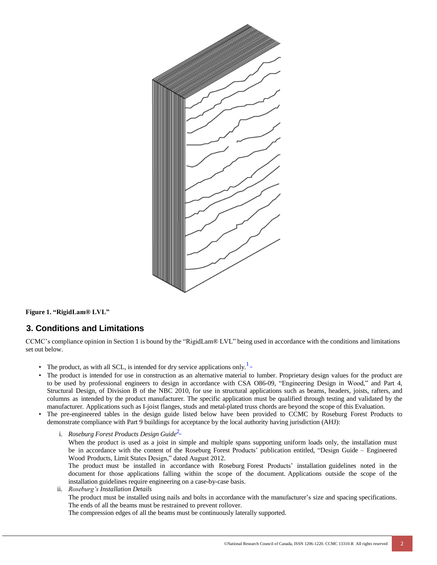

**Figure 1. "RigidLam® LVL"**

### **3. Conditions and Limitations**

CCMC's compliance opinion in Section 1 is bound by the "RigidLam® LVL" being used in accordance with the conditions and limitations set out below.

- The product, as with all SCL, is intended for dry service applications only.<sup>1</sup>-
- The product is intended for use in construction as an alternative material to lumber. Proprietary design values for the product are to be used by professional engineers to design in accordance with CSA O86-09, "Engineering Design in Wood," and Part 4, Structural Design, of Division B of the NBC 2010, for use in structural applications such as beams, headers, joists, rafters, and columns as intended by the product manufacturer. The specific application must be qualified through testing and validated by the manufacturer. Applications such as I-joist flanges, studs and metal-plated truss chords are beyond the scope of this Evaluation.
- The pre-engineered tables in the design guide listed below have been provided to CCMC by Roseburg Forest Products to demonstrate compliance with Part 9 buildings for acceptance by the local authority having jurisdiction (AHJ):
	- *i. Roseburg Forest Products Design Guide*<sup>2</sup>-

When the product is used as a joist in simple and multiple spans supporting uniform loads only, the installation must be in accordance with the content of the Roseburg Forest Products' publication entitled, "Design Guide – Engineered Wood Products, Limit States Design," dated August 2012.

The product must be installed in accordance with Roseburg Forest Products' installation guidelines noted in the document for those applications falling within the scope of the document. Applications outside the scope of the installation guidelines require engineering on a case-by-case basis.

ii. *Roseburg's Installation Details* The product must be installed using nails and bolts in accordance with the manufacturer's size and spacing specifications. The ends of all the beams must be restrained to prevent rollover. The compression edges of all the beams must be continuously laterally supported.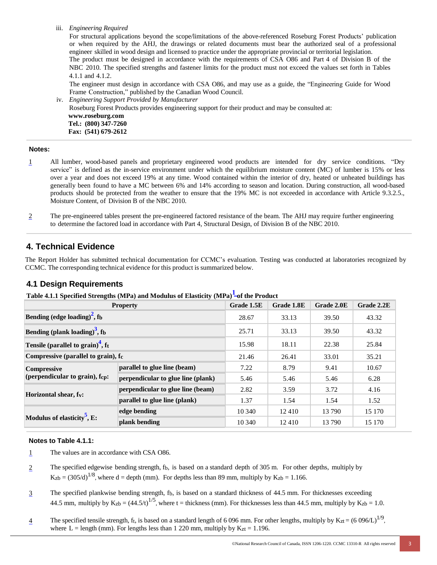iii. *Engineering Required*

For structural applications beyond the scope/limitations of the above-referenced Roseburg Forest Products' publication or when required by the AHJ, the drawings or related documents must bear the authorized seal of a professional engineer skilled in wood design and licensed to practice under the appropriate provincial or territorial legislation. The product must be designed in accordance with the requirements of CSA O86 and Part 4 of Division B of the NBC 2010. The specified strengths and fastener limits for the product must not exceed the values set forth in Tables 4.1.1 and 4.1.2.

The engineer must design in accordance with CSA O86, and may use as a guide, the "Engineering Guide for Wood Frame Construction," published by the Canadian Wood Council.

iv. *Engineering Support Provided by Manufacturer* Roseburg Forest Products provides engineering support for their product and may be consulted at: **[www.roseburg.com](http://www.roseburg.com/) Tel.: (800) 347-7260 Fax: (541) 679-2612**

#### **Notes:**

- 1 All lumber, wood-based panels and proprietary engineered wood products are intended for dry service conditions. "Dry service" is defined as the in-service environment under which the equilibrium moisture content (MC) of lumber is 15% or less over a year and does not exceed 19% at any time. Wood contained within the interior of dry, heated or unheated buildings has generally been found to have a MC between 6% and 14% according to season and location. During construction, all wood-based products should be protected from the weather to ensure that the 19% MC is not exceeded in accordance with Article 9.3.2.5., Moisture Content, of Division B of the NBC 2010.
- 2 The pre-engineered tables present the pre-engineered factored resistance of the beam. The AHJ may require further engineering to determine the factored load in accordance with Part 4, Structural Design, of Division B of the NBC 2010.

### **4. Technical Evidence**

The Report Holder has submitted technical documentation for CCMC's evaluation. Testing was conducted at laboratories recognized by CCMC. The corresponding technical evidence for this product is summarized below.

#### **4.1 Design Requirements**

| Table 4.1.1 Specified Strengths (MPa) and Modulus of Elasticity (MPa) <sup>1</sup> -of the Product |  |  |  |
|----------------------------------------------------------------------------------------------------|--|--|--|
|                                                                                                    |  |  |  |

|                                                      | <b>Property</b>                    | Grade 1.5E | Grade 1.8E | Grade 2.0E | Grade 2.2E |
|------------------------------------------------------|------------------------------------|------------|------------|------------|------------|
| Bending (edge loading) <sup>2</sup> , fb             |                                    | 28.67      | 33.13      | 39.50      | 43.32      |
| Bending (plank loading) <sup>3</sup> , fb            |                                    | 25.71      | 33.13      | 39.50      | 43.32      |
| Tensile (parallel to grain) <sup>4</sup> , ft        |                                    | 15.98      | 18.11      | 22.38      | 25.84      |
| Compressive (parallel to grain), fc                  |                                    | 21.46      | 26.41      | 33.01      | 35.21      |
| <b>Compressive</b><br>(perpendicular to grain), fcp: | parallel to glue line (beam)       | 7.22       | 8.79       | 9.41       | 10.67      |
|                                                      | perpendicular to glue line (plank) | 5.46       | 5.46       | 5.46       | 6.28       |
| Horizontal shear, fy:                                | perpendicular to glue line (beam)  | 2.82       | 3.59       | 3.72       | 4.16       |
|                                                      | parallel to glue line (plank)      | 1.37       | 1.54       | 1.54       | 1.52       |
| Modulus of elasticity <sup>5</sup> , E:              | edge bending                       | 10 340     | 12410      | 13 790     | 15 170     |
|                                                      | plank bending                      | 10 340     | 12410      | 13 790     | 15 170     |

#### **Notes to Table 4.1.1:**

- 1 The values are in accordance with CSA O86.
- 2 The specified edgewise bending strength, fb, is based on a standard depth of 305 m. For other depths, multiply by  $K_{zb} = (305/d)^{1/8}$ , where d = depth (mm). For depths less than 89 mm, multiply by  $K_{zb} = 1.166$ .
- 3 The specified plankwise bending strength, fb, is based on a standard thickness of 44.5 mm. For thicknesses exceeding 44.5 mm, multiply by  $K_{zb} = (44.5/t)^{1/5}$ , where t = thickness (mm). For thicknesses less than 44.5 mm, multiply by  $K_{zb} = 1.0$ .
- The specified tensile strength, ft, is based on a standard length of 6 096 mm. For other lengths, multiply by  $K_{zt} = (6.096/L)^{1/9}$ , where  $L =$  length (mm). For lengths less than 1 220 mm, multiply by  $K_{zt} = 1.196$ .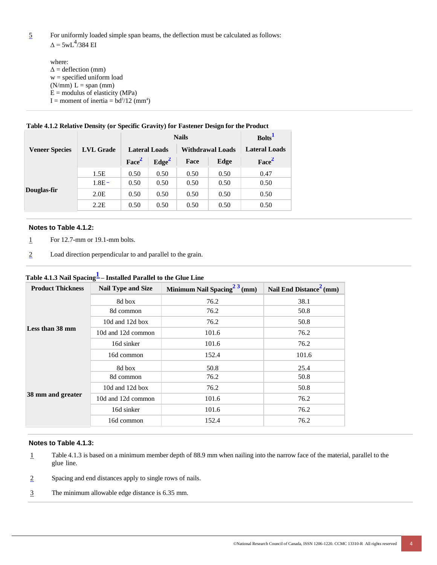5 For uniformly loaded simple span beams, the deflection must be calculated as follows:  $\Delta$  = 5wL<sup>4</sup>/384 EI

where:  $\Delta$  = deflection (mm) w = specified uniform load  $(N/mm) L = span (mm)$  $E =$  modulus of elasticity (MPa) I = moment of inertia =  $bd^3/12$  (mm<sup>4</sup>)

|                       |                  | <b>Nails</b>         |                   |                         |      | Bolts <sup>1</sup>   |
|-----------------------|------------------|----------------------|-------------------|-------------------------|------|----------------------|
| <b>Veneer Species</b> | <b>LVL Grade</b> | <b>Lateral Loads</b> |                   | <b>Withdrawal Loads</b> |      | <b>Lateral Loads</b> |
|                       |                  | Face <sup>2</sup>    | Edge <sup>2</sup> | Face                    | Edge | Face <sup>2</sup>    |
| Douglas-fir           | 1.5E             | 0.50                 | 0.50              | 0.50                    | 0.50 | 0.47                 |
|                       | $1.8E -$         | 0.50                 | 0.50              | 0.50                    | 0.50 | 0.50                 |
|                       | 2.0E             | 0.50                 | 0.50              | 0.50                    | 0.50 | 0.50                 |
|                       | 2.2E             | 0.50                 | 0.50              | 0.50                    | 0.50 | 0.50                 |

### **Table 4.1.2 Relative Density (or Specific Gravity) for Fastener Design for the Product**

#### **Notes to Table 4.1.2:**

- 1 For 12.7-mm or 19.1-mm bolts.
- 2 Load direction perpendicular to and parallel to the grain.

| <b>Product Thickness</b> | <b>Nail Type and Size</b> | Minimum Nail Spacing <sup>2 3</sup> (mm) | Nail End Distance <sup>2</sup> (mm) |
|--------------------------|---------------------------|------------------------------------------|-------------------------------------|
| Less than 38 mm          | 8d box                    | 76.2                                     | 38.1                                |
|                          | 8d common                 | 76.2                                     | 50.8                                |
|                          | 10d and 12d box           | 76.2                                     | 50.8                                |
|                          | 10d and 12d common        | 101.6                                    | 76.2                                |
|                          | 16d sinker                | 101.6                                    | 76.2                                |
|                          | 16d common                | 152.4                                    | 101.6                               |
| 38 mm and greater        | 8d box                    | 50.8                                     | 25.4                                |
|                          | 8d common                 | 76.2                                     | 50.8                                |
|                          | 10d and 12d box           | 76.2                                     | 50.8                                |
|                          | 10d and 12d common        | 101.6                                    | 76.2                                |
|                          | 16d sinker                | 101.6                                    | 76.2                                |
|                          | 16d common                | 152.4                                    | 76.2                                |

### **Table 4.1.3 Nail Spacing1 – Installed Parallel to the Glue Line**

#### **Notes to Table 4.1.3:**

- 1 Table 4.1.3 is based on a minimum member depth of 88.9 mm when nailing into the narrow face of the material, parallel to the glue line.
- 2 Spacing and end distances apply to single rows of nails.
- 3 The minimum allowable edge distance is 6.35 mm.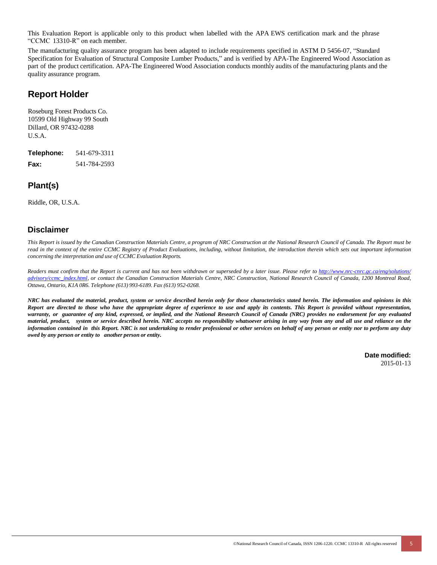This Evaluation Report is applicable only to this product when labelled with the APA EWS certification mark and the phrase "CCMC 13310-R" on each member.

The manufacturing quality assurance program has been adapted to include requirements specified in ASTM D 5456-07, "Standard Specification for Evaluation of Structural Composite Lumber Products," and is verified by APA-The Engineered Wood Association as part of the product certification. APA-The Engineered Wood Association conducts monthly audits of the manufacturing plants and the quality assurance program.

## **Report Holder**

Roseburg Forest Products Co. 10599 Old Highway 99 South Dillard, OR 97432-0288 U.S.A.

| Telephone:  | 541-679-3311 |
|-------------|--------------|
| <b>Fax:</b> | 541-784-2593 |

## **Plant(s)**

Riddle, OR, U.S.A.

### **Disclaimer**

This Report is issued by the Canadian Construction Materials Centre, a program of NRC Construction at the National Research Council of Canada. The Report must be read in the context of the entire CCMC Registry of Product Evaluations, including, without limitation, the introduction therein which sets out important information *concerning the interpretation and use of CCMC Evaluation Reports.*

Readers must confirm that the Report is current and has not been withdrawn or superseded by a later issue. Please refer to <http://www.nrc-cnrc.gc.ca/eng/solutions/> advisory/ceme\_index.html, or contact the Canadian Construction Materials Centre, NRC Construction, National Research Council of Canada, 1200 Montreal Road, *Ottawa, Ontario, K1A 0R6. Telephone (613) 993-6189. Fax (613) 952-0268.*

NRC has evaluated the material, product, system or service described herein only for those characteristics stated herein. The information and opinions in this Report are directed to those who have the appropriate degree of experience to use and apply its contents. This Report is provided without representation, warranty, or guarantee of any kind, expressed, or implied, and the National Research Council of Canada (NRC) provides no endorsement for any evaluated material, product, system or service described herein. NRC accepts no responsibility whatsoever arising in any way from any and all use and reliance on the information contained in this Report. NRC is not undertaking to render professional or other services on behalf of any person or entity nor to perform any duty *owed by any person or entity to another person or entity.*

> **Date modified:** 2015-01-13